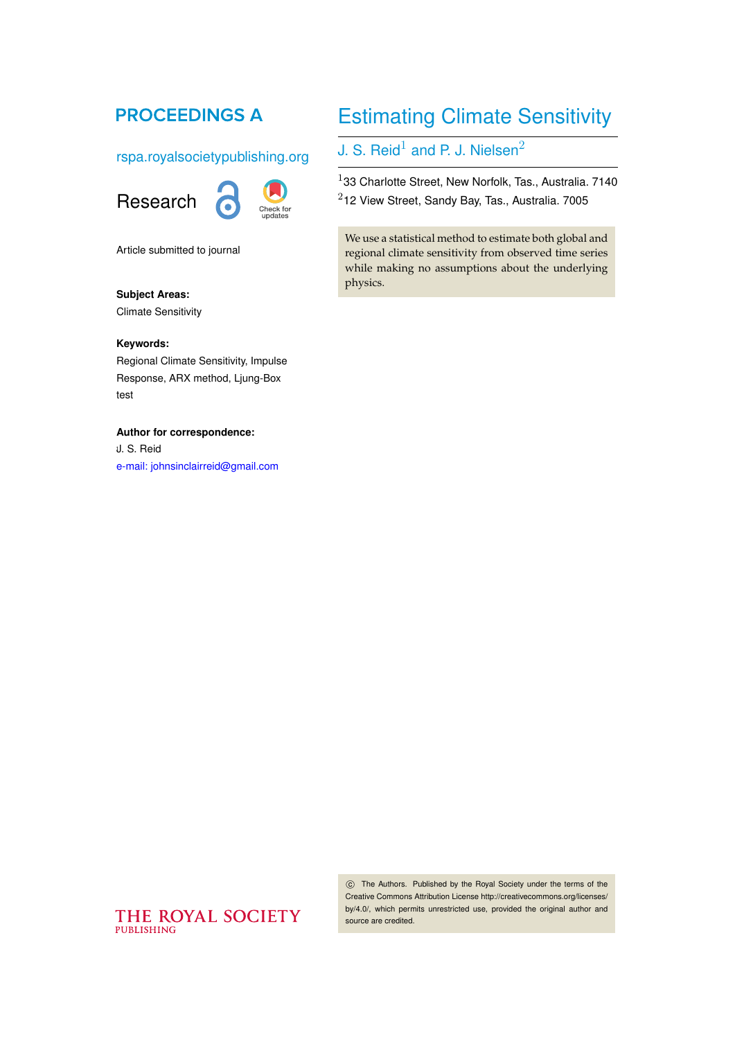## **PROCEEDINGS A**

rspa.royalsocietypublishing.org



Article submitted to journal

#### **Subject Areas:**

Climate Sensitivity

#### **Keywords:**

Regional Climate Sensitivity, Impulse Response, ARX method, Ljung-Box test

#### **Author for correspondence:**

J. S. Reid 1 [e-mail: johnsinclairreid@gmail.com](mailto:johnsinclairreid@gmail.com)

# Estimating Climate Sensitivity

J. S. Reid $^1$  and P. J. Nielsen $^2$ 

 $1$ 33 Charlotte Street, New Norfolk, Tas., Australia. 7140  $2$ 12 View Street, Sandy Bay, Tas., Australia. 7005

We use a statistical method to estimate both global and regional climate sensitivity from observed time series while making no assumptions about the underlying physics.

### THE ROYAL SOCIETY **PUBLISHING**

 c The Authors. Published by the Royal Society under the terms of the Creative Commons Attribution License http://creativecommons.org/licenses/ by/4.0/, which permits unrestricted use, provided the original author and source are credited.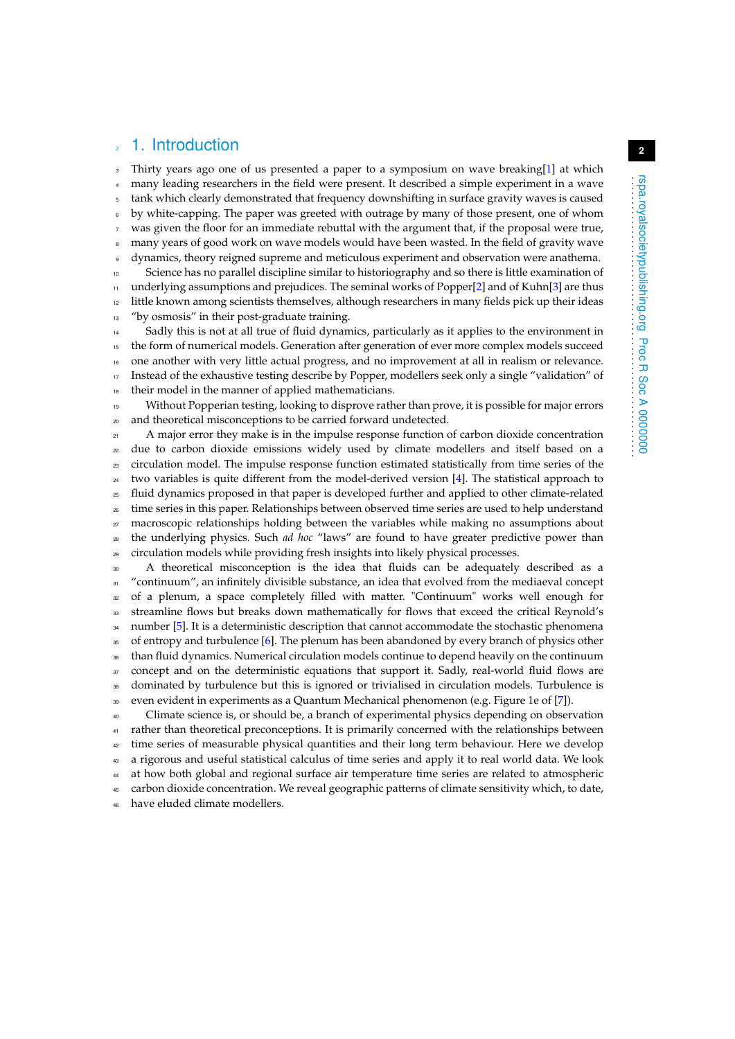### 1. Introduction

Thirty years ago one of us presented a paper to a symposium on wave breaking[\[1\]](#page-4-0) at which <sup>4</sup> many leading researchers in the field were present. It described a simple experiment in a wave <sup>5</sup> tank which clearly demonstrated that frequency downshifting in surface gravity waves is caused <sup>6</sup> by white-capping. The paper was greeted with outrage by many of those present, one of whom was given the floor for an immediate rebuttal with the argument that, if the proposal were true, many years of good work on wave models would have been wasted. In the field of gravity wave dynamics, theory reigned supreme and meticulous experiment and observation were anathema. <sup>10</sup> Science has no parallel discipline similar to historiography and so there is little examination of  $11$  underlying assumptions and prejudices. The seminal works of Popper[\[2\]](#page-5-0) and of Kuhn[\[3\]](#page-5-1) are thus <sup>12</sup> little known among scientists themselves, although researchers in many fields pick up their ideas <sup>13</sup> "by osmosis" in their post-graduate training.

 Sadly this is not at all true of fluid dynamics, particularly as it applies to the environment in the form of numerical models. Generation after generation of ever more complex models succeed one another with very little actual progress, and no improvement at all in realism or relevance. Instead of the exhaustive testing describe by Popper, modellers seek only a single "validation" of their model in the manner of applied mathematicians.

<sup>19</sup> Without Popperian testing, looking to disprove rather than prove, it is possible for major errors <sup>20</sup> and theoretical misconceptions to be carried forward undetected.

<sup>21</sup> A major error they make is in the impulse response function of carbon dioxide concentration <sub>22</sub> due to carbon dioxide emissions widely used by climate modellers and itself based on a <sup>23</sup> circulation model. The impulse response function estimated statistically from time series of the <sup>24</sup> two variables is quite different from the model-derived version [\[4\]](#page-5-2). The statistical approach to <sup>25</sup> fluid dynamics proposed in that paper is developed further and applied to other climate-related <sup>26</sup> time series in this paper. Relationships between observed time series are used to help understand <sub>27</sub> macroscopic relationships holding between the variables while making no assumptions about <sup>28</sup> the underlying physics. Such *ad hoc* "laws" are found to have greater predictive power than <sup>29</sup> circulation models while providing fresh insights into likely physical processes.

<sup>30</sup> A theoretical misconception is the idea that fluids can be adequately described as a <sup>31</sup> "continuum", an infinitely divisible substance, an idea that evolved from the mediaeval concept <sup>32</sup> of a plenum, a space completely filled with matter. "Continuum" works well enough for <sup>33</sup> streamline flows but breaks down mathematically for flows that exceed the critical Reynold's <sup>34</sup> number [\[5\]](#page-5-3). It is a deterministic description that cannot accommodate the stochastic phenomena <sup>35</sup> of entropy and turbulence [\[6\]](#page-5-4). The plenum has been abandoned by every branch of physics other <sup>36</sup> than fluid dynamics. Numerical circulation models continue to depend heavily on the continuum <sub>37</sub> concept and on the deterministic equations that support it. Sadly, real-world fluid flows are <sup>38</sup> dominated by turbulence but this is ignored or trivialised in circulation models. Turbulence is <sup>39</sup> even evident in experiments as a Quantum Mechanical phenomenon (e.g. Figure 1e of [\[7\]](#page-5-5)).

<sup>40</sup> Climate science is, or should be, a branch of experimental physics depending on observation <sup>41</sup> rather than theoretical preconceptions. It is primarily concerned with the relationships between <sup>42</sup> time series of measurable physical quantities and their long term behaviour. Here we develop <sup>43</sup> a rigorous and useful statistical calculus of time series and apply it to real world data. We look <sup>44</sup> at how both global and regional surface air temperature time series are related to atmospheric <sup>45</sup> carbon dioxide concentration. We reveal geographic patterns of climate sensitivity which, to date, <sup>46</sup> have eluded climate modellers.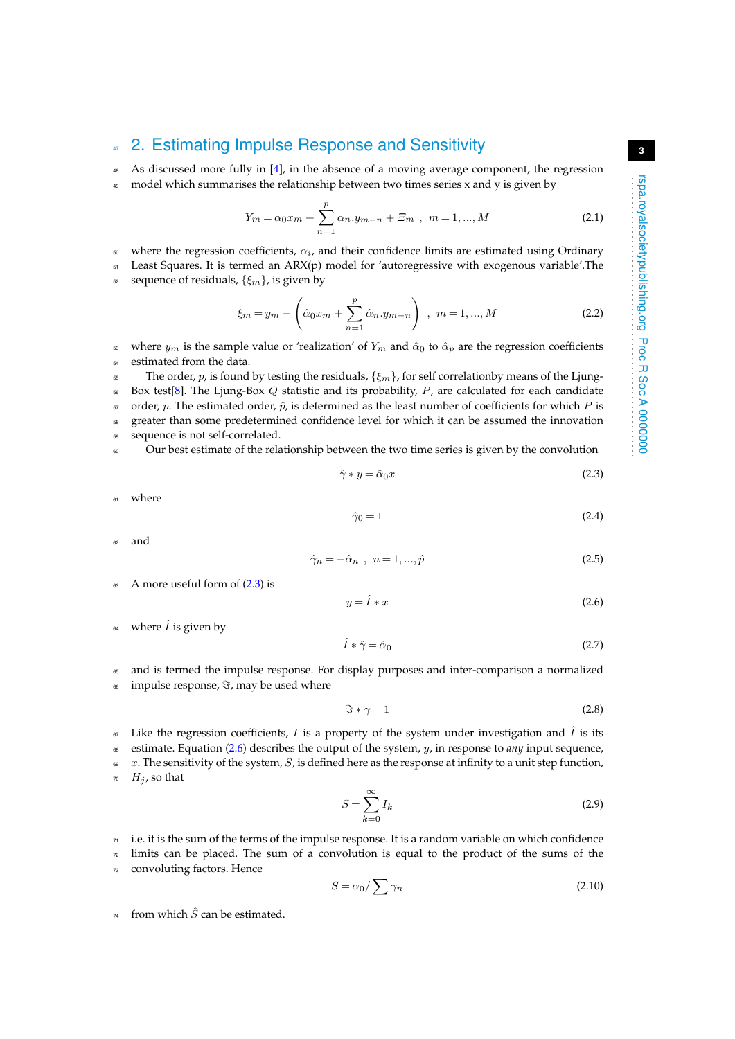## <sup>47</sup> 2. Estimating Impulse Response and Sensitivity

<sup>48</sup> As discussed more fully in [\[4\]](#page-5-2), in the absence of a moving average component, the regression

<sup>49</sup> model which summarises the relationship between two times series x and y is given by

<span id="page-2-2"></span>
$$
Y_m = \alpha_0 x_m + \sum_{n=1}^p \alpha_n y_{m-n} + \Xi_m , \quad m = 1, ..., M
$$
 (2.1)

 $50$  where the regression coefficients,  $α<sub>i</sub>$ , and their confidence limits are estimated using Ordinary

 $51$  Least Squares. It is termed an ARX(p) model for 'autoregressive with exogenous variable'. The

 $\mathfrak{s}_2$  sequence of residuals,  $\{\xi_m\}$ , is given by

<span id="page-2-6"></span>
$$
\xi_m = y_m - \left(\hat{\alpha}_0 x_m + \sum_{n=1}^p \hat{\alpha}_n y_{m-n}\right) , \ m = 1, ..., M
$$
 (2.2)

53 where  $y_m$  is the sample value or 'realization' of  $Y_m$  and  $\hat{\alpha}_0$  to  $\hat{\alpha}_p$  are the regression coefficients <sup>54</sup> estimated from the data.

<sup>55</sup> The order, p, is found by testing the residuals,  $\{\xi_m\}$ , for self correlationby means of the Ljung- Box test[\[8\]](#page-5-6). The Ljung-Box Q statistic and its probability, P, are calculated for each candidate order, p. The estimated order,  $\hat{p}$ , is determined as the least number of coefficients for which P is greater than some predetermined confidence level for which it can be assumed the innovation sequence is not self-correlated.

<sup>60</sup> Our best estimate of the relationship between the two time series is given by the convolution

<span id="page-2-0"></span>
$$
\hat{\gamma} * y = \hat{\alpha}_0 x \tag{2.3}
$$

<sup>61</sup> where

<span id="page-2-3"></span>
$$
\hat{\gamma}_0 = 1 \tag{2.4}
$$

62 and

<span id="page-2-4"></span>
$$
\hat{\gamma}_n = -\hat{\alpha}_n \ , \ n = 1, ..., \hat{p} \tag{2.5}
$$

 $\epsilon$ <sub>63</sub> A more useful form of  $(2.3)$  is

<span id="page-2-1"></span>
$$
y = \hat{I} * x \tag{2.6}
$$

64 where  $\hat{I}$  is given by

$$
\hat{I} * \hat{\gamma} = \hat{\alpha}_0 \tag{2.7}
$$

<sup>65</sup> and is termed the impulse response. For display purposes and inter-comparison a normalized  $66$  impulse response,  $\Im$ , may be used where

$$
\Im * \gamma = 1 \tag{2.8}
$$

 $67$  Like the regression coefficients, I is a property of the system under investigation and  $\hat{I}$  is its <sup>68</sup> estimate. Equation [\(2.6\)](#page-2-1) describes the output of the system, y, in response to *any* input sequence,

 $\theta$   $x$ . The sensitivity of the system, S, is defined here as the response at infinity to a unit step function,  $H_i$ , so that

$$
S = \sum_{k=0}^{\infty} I_k
$$
 (2.9)

 $71$  i.e. it is the sum of the terms of the impulse response. It is a random variable on which confidence

 $72$  limits can be placed. The sum of a convolution is equal to the product of the sums of the

<sup>73</sup> convoluting factors. Hence

<span id="page-2-5"></span>
$$
S = \alpha_0 / \sum \gamma_n \tag{2.10}
$$

 $74$  from which  $\hat{S}$  can be estimated.

**3**

 $S =$  $\sum^{\infty}$  $k=0$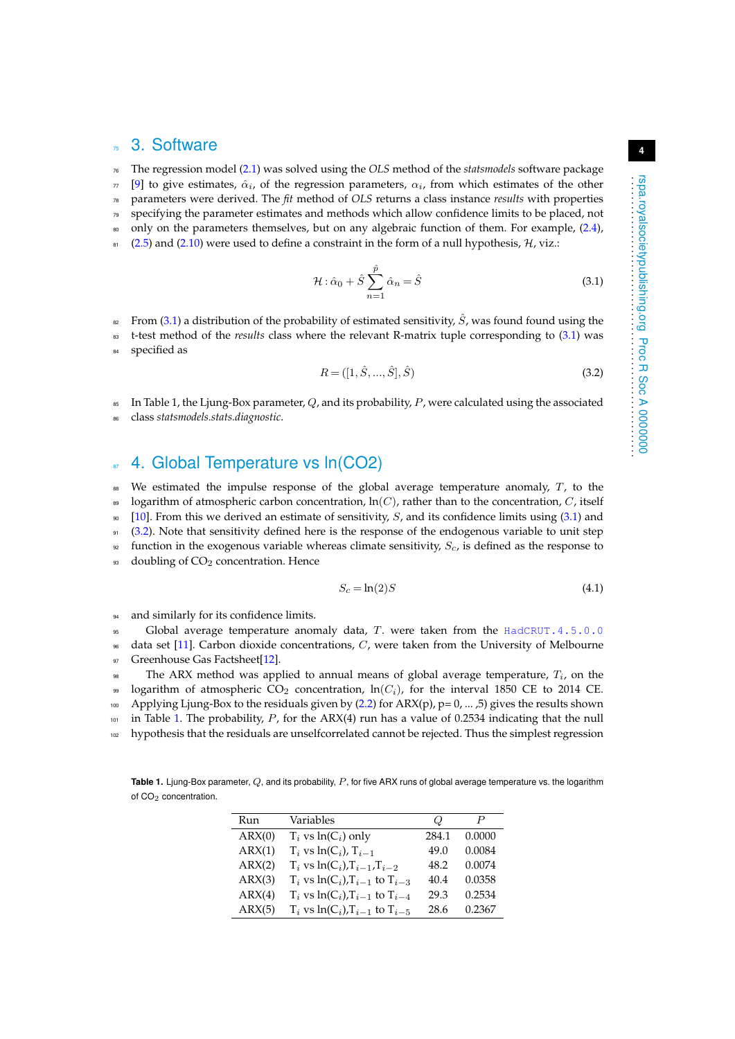### 3. Software

<sup>76</sup> The regression model [\(2.1\)](#page-2-2) was solved using the *OLS* method of the *statsmodels* software package

 $\pi$  [\[9\]](#page-5-7) to give estimates,  $\hat{\alpha}_i$ , of the regression parameters,  $\alpha_i$ , from which estimates of the other <sup>78</sup> parameters were derived. The *fit* method of *OLS* returns a class instance *results* with properties

- <sup>79</sup> specifying the parameter estimates and methods which allow confidence limits to be placed, not
- <sup>80</sup> only on the parameters themselves, but on any algebraic function of them. For example, [\(2.4\)](#page-2-3),
- 81 [\(2.5\)](#page-2-4) and [\(2.10\)](#page-2-5) were used to define a constraint in the form of a null hypothesis,  $H$ , viz.:
	- $\mathcal{H}$  :  $\hat{\alpha}_0 + \hat{S} \, \sum^{\hat{p}} \,$  $\hat{\alpha}_n = \hat{S}$  (3.1)

$$
n{=}1
$$

82 From [\(3.1\)](#page-3-0) a distribution of the probability of estimated sensitivity,  $\hat{S}$ , was found found using the <sup>83</sup> t-test method of the *results* class where the relevant R-matrix tuple corresponding to [\(3.1\)](#page-3-0) was

<sup>84</sup> specified as

<span id="page-3-1"></span><span id="page-3-0"></span>
$$
R = ([1, \hat{S}, ..., \hat{S}], \hat{S})
$$
\n(3.2)

 $\frac{1}{85}$  In Table 1, the Ljung-Box parameter, Q, and its probability, P, were calculated using the associated

<sup>86</sup> class *statsmodels.stats.diagnostic*.

## <sup>87</sup> 4. Global Temperature vs ln(CO2)

<sup>88</sup> We estimated the impulse response of the global average temperature anomaly,  $T<sub>t</sub>$ , to the <sup>89</sup> logarithm of atmospheric carbon concentration,  $\ln(C)$ , rather than to the concentration, C, itself  $90 \quad [10]$  $90 \quad [10]$ . From this we derived an estimate of sensitivity, S, and its confidence limits using [\(3.1\)](#page-3-0) and <sup>91</sup> [\(3.2\)](#page-3-1). Note that sensitivity defined here is the response of the endogenous variable to unit step  $92$  function in the exogenous variable whereas climate sensitivity,  $S_c$ , is defined as the response to 93 doubling of  $CO<sub>2</sub>$  concentration. Hence

<span id="page-3-3"></span>
$$
S_c = \ln(2)S\tag{4.1}
$$

94 and similarly for its confidence limits.

 $\epsilon$  Global average temperature anomaly data, T. were taken from the <HadCRUT.4.5.0.0>  $\theta$ <sub>96</sub> data set [\[11\]](#page-5-9). Carbon dioxide concentrations, C, were taken from the University of Melbourne 97 Greenhouse Gas Factsheet[\[12\]](#page-5-10).

 $\epsilon_{\text{\tiny SR}}$  The ARX method was applied to annual means of global average temperature,  $T_i$ , on the 99 logarithm of atmospheric CO<sub>2</sub> concentration,  $ln(C_i)$ , for the interval 1850 CE to 2014 CE. <sup>100</sup> Applying Ljung-Box to the residuals given by [\(2.2\)](#page-2-6) for ARX(p), p= 0, ... ,5) gives the results shown  $101$  in Table [1.](#page-3-2) The probability, P, for the ARX(4) run has a value of 0.2534 indicating that the null <sup>102</sup> hypothesis that the residuals are unselfcorrelated cannot be rejected. Thus the simplest regression

<span id="page-3-2"></span>**Table 1.** Ljung-Box parameter, Q, and its probability, P, for five ARX runs of global average temperature vs. the logarithm of CO<sub>2</sub> concentration.

| Run    | Variables                                   | $\omega$ | P      |
|--------|---------------------------------------------|----------|--------|
| ARX(0) | $T_i$ vs $ln(C_i)$ only                     | 284.1    | 0.0000 |
| ARX(1) | $T_i$ vs $ln(C_i)$ , $T_{i-1}$              | 49.0     | 0.0084 |
| ARX(2) | $T_i$ vs $ln(C_i)$ , $T_{i-1}$ , $T_{i-2}$  | 48.2     | 0.0074 |
| ARX(3) | $T_i$ vs $ln(C_i)$ , $T_{i-1}$ to $T_{i-3}$ | 40.4     | 0.0358 |
| ARX(4) | $T_i$ vs $ln(C_i)$ , $T_{i-1}$ to $T_{i-4}$ | 29.3     | 0.2534 |
| ARX(5) | $T_i$ vs $ln(C_i)$ , $T_{i-1}$ to $T_{i-5}$ | 28.6     | 0.2367 |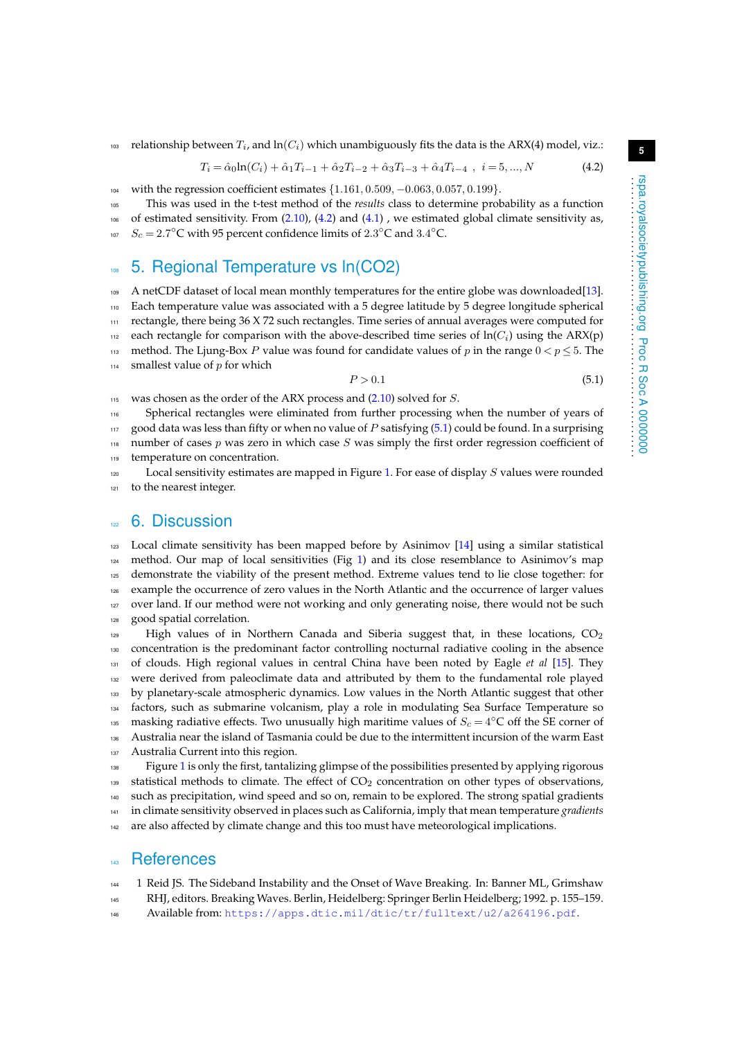$103$  relationship between  $T_i$ , and  $\ln(C_i)$  which unambiguously fits the data is the ARX(4) model, viz.:

<span id="page-4-1"></span>
$$
T_i = \hat{\alpha}_0 \ln(C_i) + \hat{\alpha}_1 T_{i-1} + \hat{\alpha}_2 T_{i-2} + \hat{\alpha}_3 T_{i-3} + \hat{\alpha}_4 T_{i-4} , \quad i = 5, ..., N
$$
 (4.2)

<sup>104</sup> with the regression coefficient estimates {1.161, 0.509, −0.063, 0.057, 0.199}.

<sup>105</sup> This was used in the t-test method of the *results* class to determine probability as a function

 $106$  of estimated sensitivity. From  $(2.10)$ ,  $(4.2)$  and  $(4.1)$ , we estimated global climate sensitivity as,

<sup>107</sup>  $S_c = 2.7$ <sup>o</sup>C with 95 percent confidence limits of 2.3<sup>o</sup>C and 3.4<sup>o</sup>C.

## 108 5. Regional Temperature vs In(CO2)

<sup>109</sup> A netCDF dataset of local mean monthly temperatures for the entire globe was downloaded[\[13\]](#page-5-11). <sup>110</sup> Each temperature value was associated with a 5 degree latitude by 5 degree longitude spherical <sup>111</sup> rectangle, there being 36 X 72 such rectangles. Time series of annual averages were computed for  $\mu_2$  each rectangle for comparison with the above-described time series of  $\ln(C_i)$  using the ARX(p) 113 method. The Ljung-Box P value was found for candidate values of p in the range  $0 < p \le 5$ . The  $114$  smallest value of p for which

<span id="page-4-2"></span>
$$
P > 0.1\tag{5.1}
$$

115 was chosen as the order of the ARX process and  $(2.10)$  solved for S.

<sup>116</sup> Spherical rectangles were eliminated from further processing when the number of years of 117 good data was less than fifty or when no value of  $P$  satisfying  $(5.1)$  could be found. In a surprising 118 number of cases  $p$  was zero in which case  $S$  was simply the first order regression coefficient of <sup>119</sup> temperature on concentration.

 $120$  Local sensitivity estimates are mapped in Figure [1.](#page-6-0) For ease of display S values were rounded 121 to the nearest integer.

#### $\approx$  6. Discussion

123 Local climate sensitivity has been mapped before by Asinimov [\[14\]](#page-5-12) using a similar statistical method. Our map of local sensitivities (Fig [1\)](#page-6-0) and its close resemblance to Asinimov's map 125 demonstrate the viability of the present method. Extreme values tend to lie close together: for example the occurrence of zero values in the North Atlantic and the occurrence of larger values over land. If our method were not working and only generating noise, there would not be such good spatial correlation.

 High values of in Northern Canada and Siberia suggest that, in these locations,  $CO<sub>2</sub>$  concentration is the predominant factor controlling nocturnal radiative cooling in the absence of clouds. High regional values in central China have been noted by Eagle *et al* [\[15\]](#page-5-13). They were derived from paleoclimate data and attributed by them to the fundamental role played 133 by planetary-scale atmospheric dynamics. Low values in the North Atlantic suggest that other factors, such as submarine volcanism, play a role in modulating Sea Surface Temperature so <sup>135</sup> masking radiative effects. Two unusually high maritime values of  $S_c = 4$ <sup>o</sup>C off the SE corner of Australia near the island of Tasmania could be due to the intermittent incursion of the warm East Australia Current into this region.

<sup>138</sup> Figure [1](#page-6-0) is only the first, tantalizing glimpse of the possibilities presented by applying rigorous 139 statistical methods to climate. The effect of  $CO<sub>2</sub>$  concentration on other types of observations, <sup>140</sup> such as precipitation, wind speed and so on, remain to be explored. The strong spatial gradients <sup>141</sup> in climate sensitivity observed in places such as California, imply that mean temperature *gradients* 142 are also affected by climate change and this too must have meteorological implications.

#### **References**

<span id="page-4-0"></span><sup>144</sup> 1 Reid JS. The Sideband Instability and the Onset of Wave Breaking. In: Banner ML, Grimshaw <sup>145</sup> RHJ, editors. Breaking Waves. Berlin, Heidelberg: Springer Berlin Heidelberg; 1992. p. 155–159.

<sup>146</sup> Available from: <https://apps.dtic.mil/dtic/tr/fulltext/u2/a264196.pdf>.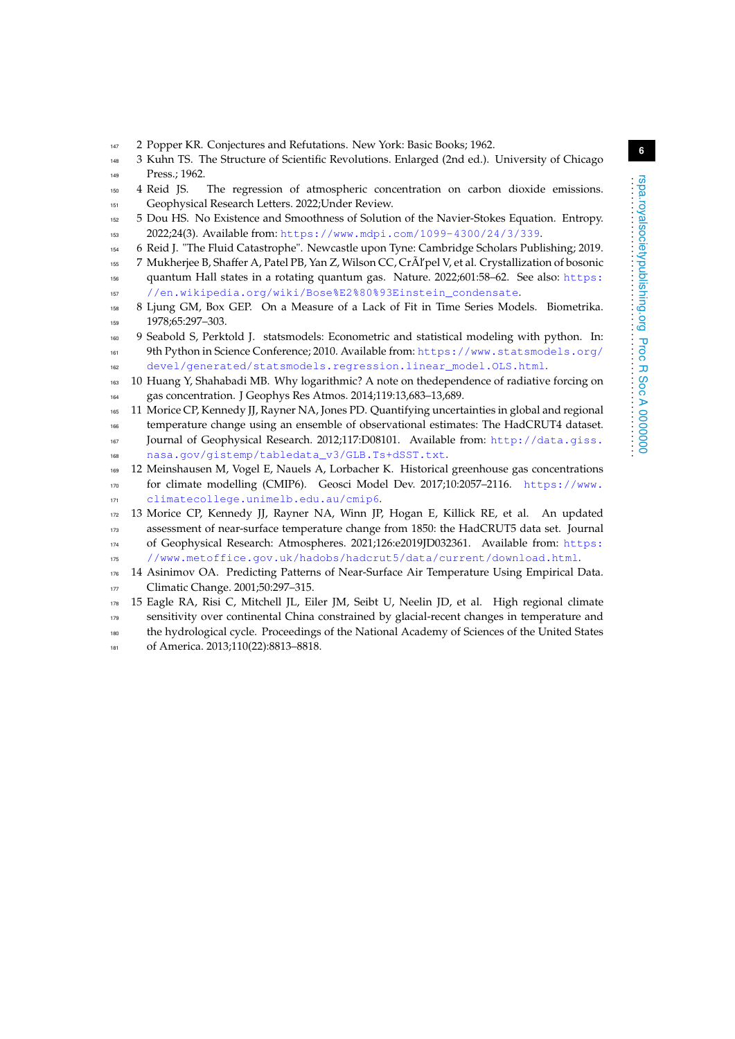- <span id="page-5-0"></span>2 Popper KR. Conjectures and Refutations. New York: Basic Books; 1962.
- <span id="page-5-1"></span> 3 Kuhn TS. The Structure of Scientific Revolutions. Enlarged (2nd ed.). University of Chicago  $149 \text{ Pres} \cdot 1962$
- <span id="page-5-2"></span> 4 Reid JS. The regression of atmospheric concentration on carbon dioxide emissions. Geophysical Research Letters. 2022;Under Review.
- <span id="page-5-3"></span> 5 Dou HS. No Existence and Smoothness of Solution of the Navier-Stokes Equation. Entropy. 2022;24(3). Available from: <https://www.mdpi.com/1099-4300/24/3/339>.
- <span id="page-5-4"></span>6 Reid J. "The Fluid Catastrophe". Newcastle upon Tyne: Cambridge Scholars Publishing; 2019.
- <span id="page-5-5"></span> 7 Mukherjee B, Shaffer A, Patel PB, Yan Z, Wilson CC, CrÃl'pel V, et al. Crystallization of bosonic quantum Hall states in a rotating quantum gas. Nature. 2022;601:58–62. See also: [https:](https://en.wikipedia.org/wiki/Bose%E2%80%93Einstein_condensate) [//en.wikipedia.org/wiki/Bose%E2%80%93Einstein\\_condensate](https://en.wikipedia.org/wiki/Bose%E2%80%93Einstein_condensate).
- <span id="page-5-6"></span> 8 Ljung GM, Box GEP. On a Measure of a Lack of Fit in Time Series Models. Biometrika. 159 1978;65:297-303.
- <span id="page-5-7"></span> 9 Seabold S, Perktold J. statsmodels: Econometric and statistical modeling with python. In: 9th Python in Science Conference; 2010. Available from: [https://www.statsmodels.org/](https://www.statsmodels.org/devel/generated/statsmodels.regression.linear_model.OLS.html) [devel/generated/statsmodels.regression.linear\\_model.OLS.html](https://www.statsmodels.org/devel/generated/statsmodels.regression.linear_model.OLS.html).
- <span id="page-5-8"></span> 10 Huang Y, Shahabadi MB. Why logarithmic? A note on thedependence of radiative forcing on gas concentration. J Geophys Res Atmos. 2014;119:13,683–13,689.
- <span id="page-5-9"></span> 11 Morice CP, Kennedy JJ, Rayner NA, Jones PD. Quantifying uncertainties in global and regional temperature change using an ensemble of observational estimates: The HadCRUT4 dataset. Journal of Geophysical Research. 2012;117:D08101. Available from: [http://data.giss.](http://data.giss.nasa.gov/gistemp/tabledata_v3/GLB.Ts+dSST.txt) [nasa.gov/gistemp/tabledata\\_v3/GLB.Ts+dSST.txt](http://data.giss.nasa.gov/gistemp/tabledata_v3/GLB.Ts+dSST.txt).
- <span id="page-5-10"></span> 12 Meinshausen M, Vogel E, Nauels A, Lorbacher K. Historical greenhouse gas concentrations for climate modelling (CMIP6). Geosci Model Dev. 2017;10:2057–2116. [https://www.](https://www.climatecollege.unimelb.edu.au/cmip6) [climatecollege.unimelb.edu.au/cmip6](https://www.climatecollege.unimelb.edu.au/cmip6).
- <span id="page-5-11"></span> 13 Morice CP, Kennedy JJ, Rayner NA, Winn JP, Hogan E, Killick RE, et al. An updated assessment of near-surface temperature change from 1850: the HadCRUT5 data set. Journal of Geophysical Research: Atmospheres. 2021;126:e2019JD032361. Available from: [https:](https://www.metoffice.gov.uk/hadobs/hadcrut5/data/current/download.html)
- [//www.metoffice.gov.uk/hadobs/hadcrut5/data/current/download.html](https://www.metoffice.gov.uk/hadobs/hadcrut5/data/current/download.html).
- <span id="page-5-12"></span>176 14 Asinimov OA. Predicting Patterns of Near-Surface Air Temperature Using Empirical Data. 177 Climatic Change. 2001;50:297-315.
- <span id="page-5-13"></span> 15 Eagle RA, Risi C, Mitchell JL, Eiler JM, Seibt U, Neelin JD, et al. High regional climate sensitivity over continental China constrained by glacial-recent changes in temperature and the hydrological cycle. Proceedings of the National Academy of Sciences of the United States
- 181 of America. 2013;110(22):8813-8818.